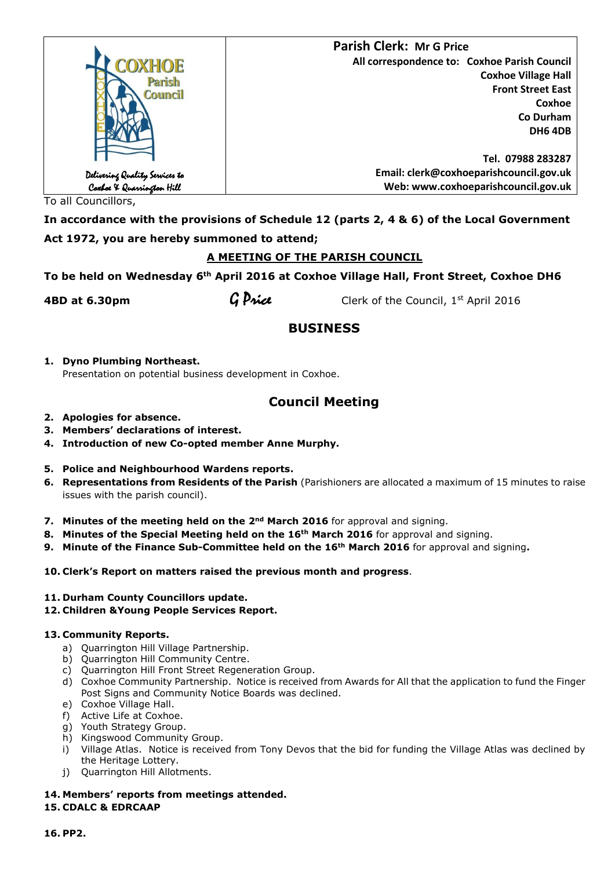|                                                             | <b>Parish Clerk: Mr G Price</b>              |
|-------------------------------------------------------------|----------------------------------------------|
| COXHOE                                                      | All correspondence to: Coxhoe Parish Council |
| Parish                                                      | <b>Coxhoe Village Hall</b>                   |
| Council                                                     | <b>Front Street East</b>                     |
|                                                             | Coxhoe                                       |
|                                                             | Co Durham                                    |
|                                                             | <b>DH6 4DB</b>                               |
|                                                             |                                              |
|                                                             | Tel. 07988 283287                            |
|                                                             | Email: clerk@coxhoeparishcouncil.gov.uk      |
| Delivering Quality Services to<br>Coxboe & Quarrington Hill | Web: www.coxhoeparishcouncil.gov.uk          |

To all Councillors,

**In accordance with the provisions of Schedule 12 (parts 2, 4 & 6) of the Local Government Act 1972, you are hereby summoned to attend;**

# **A MEETING OF THE PARISH COUNCIL**

**To be held on Wednesday 6th April 2016 at Coxhoe Village Hall, Front Street, Coxhoe DH6** 

**4BD at 6.30pm G Price** Clerk of the Council, 1st April 2016

# **BUSINESS**

**1. Dyno Plumbing Northeast.** Presentation on potential business development in Coxhoe.

# **Council Meeting**

- **2. Apologies for absence.**
- **3. Members' declarations of interest.**
- **4. Introduction of new Co-opted member Anne Murphy.**

## **5. Police and Neighbourhood Wardens reports.**

- **6. Representations from Residents of the Parish** (Parishioners are allocated a maximum of 15 minutes to raise issues with the parish council).
- **7.** Minutes of the meeting held on the 2<sup>nd</sup> March 2016 for approval and signing.
- **8. Minutes of the Special Meeting held on the 16th March 2016** for approval and signing.
- **9. Minute of the Finance Sub-Committee held on the 16th March 2016** for approval and signing**.**
- **10. Clerk's Report on matters raised the previous month and progress**.
- **11. Durham County Councillors update.**
- **12. Children &Young People Services Report.**

## **13. Community Reports.**

- a) Quarrington Hill Village Partnership.
- b) Quarrington Hill Community Centre.
- c) Quarrington Hill Front Street Regeneration Group.
- d) Coxhoe Community Partnership. Notice is received from Awards for All that the application to fund the Finger Post Signs and Community Notice Boards was declined.
- e) Coxhoe Village Hall.
- f) Active Life at Coxhoe.
- g) Youth Strategy Group.
- h) Kingswood Community Group.
- i) Village Atlas. Notice is received from Tony Devos that the bid for funding the Village Atlas was declined by the Heritage Lottery.
- j) Quarrington Hill Allotments.

# **14. Members' reports from meetings attended.**

# **15. CDALC & EDRCAAP**